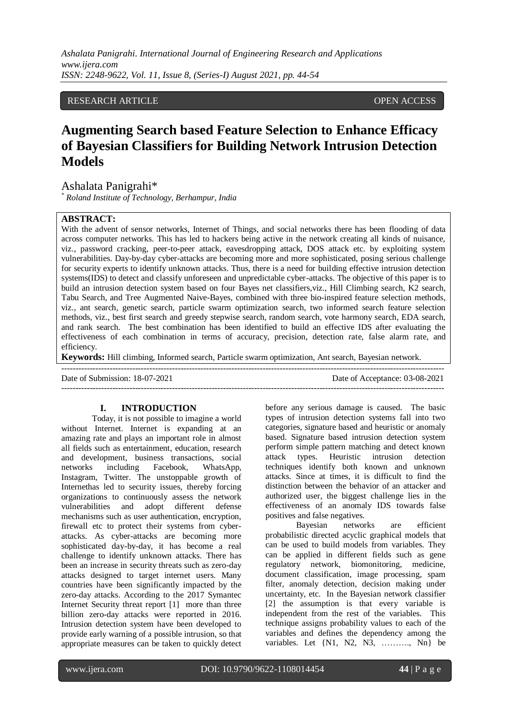## RESEARCH ARTICLE **OPEN ACCESS**

# **Augmenting Search based Feature Selection to Enhance Efficacy of Bayesian Classifiers for Building Network Intrusion Detection Models**

Ashalata Panigrahi\*

*\* Roland Institute of Technology, Berhampur, India*

# **ABSTRACT:**

With the advent of sensor networks, Internet of Things, and social networks there has been flooding of data across computer networks. This has led to hackers being active in the network creating all kinds of nuisance, viz., password cracking, peer-to-peer attack, eavesdropping attack, DOS attack etc. by exploiting system vulnerabilities. Day-by-day cyber-attacks are becoming more and more sophisticated, posing serious challenge for security experts to identify unknown attacks. Thus, there is a need for building effective intrusion detection systems(IDS) to detect and classify unforeseen and unpredictable cyber-attacks. The objective of this paper is to build an intrusion detection system based on four Bayes net classifiers,viz., Hill Climbing search, K2 search, Tabu Search, and Tree Augmented Naive-Bayes, combined with three bio-inspired feature selection methods, viz., ant search, genetic search, particle swarm optimization search, two informed search feature selection methods, viz., best first search and greedy stepwise search, random search, vote harmony search, EDA search, and rank search. The best combination has been identified to build an effective IDS after evaluating the effectiveness of each combination in terms of accuracy, precision, detection rate, false alarm rate, and efficiency.

**Keywords:** Hill climbing, Informed search, Particle swarm optimization, Ant search, Bayesian network.

---------------------------------------------------------------------------------------------------------------------------------------

Date of Submission: 18-07-2021 Date of Acceptance: 03-08-2021

## **I. INTRODUCTION**

Today, it is not possible to imagine a world without Internet. Internet is expanding at an amazing rate and plays an important role in almost all fields such as entertainment, education, research and development, business transactions, social networks including Facebook, WhatsApp, Instagram, Twitter. The unstoppable growth of Internethas led to security issues, thereby forcing organizations to continuously assess the network vulnerabilities and adopt different defense mechanisms such as user authentication, encryption, firewall etc to protect their systems from cyberattacks. As cyber-attacks are becoming more sophisticated day-by-day, it has become a real challenge to identify unknown attacks. There has been an increase in security threats such as zero-day attacks designed to target internet users. Many countries have been significantly impacted by the zero-day attacks. According to the 2017 Symantec Internet Security threat report [1] more than three billion zero-day attacks were reported in 2016. Intrusion detection system have been developed to provide early warning of a possible intrusion, so that appropriate measures can be taken to quickly detect before any serious damage is caused. The basic types of intrusion detection systems fall into two categories, signature based and heuristic or anomaly based. Signature based intrusion detection system perform simple pattern matching and detect known attack types. Heuristic intrusion detection techniques identify both known and unknown attacks. Since at times, it is difficult to find the distinction between the behavior of an attacker and authorized user, the biggest challenge lies in the effectiveness of an anomaly IDS towards false positives and false negatives.

---------------------------------------------------------------------------------------------------------------------------------------

Bayesian networks are efficient probabilistic directed acyclic graphical models that can be used to build models from variables. They can be applied in different fields such as gene regulatory network, biomonitoring, medicine, document classification, image processing, spam filter, anomaly detection, decision making under uncertainty, etc. In the Bayesian network classifier [2] the assumption is that every variable is independent from the rest of the variables. This technique assigns probability values to each of the variables and defines the dependency among the variables. Let {N1, N2, N3, ………., Nn} be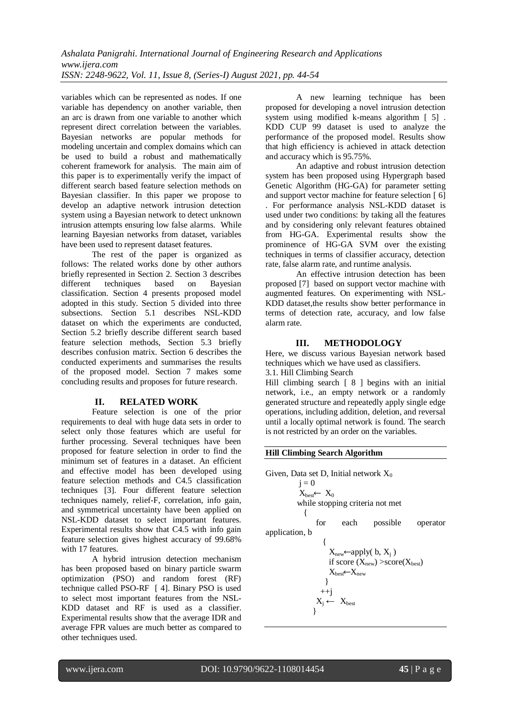variables which can be represented as nodes. If one variable has dependency on another variable, then an arc is drawn from one variable to another which represent direct correlation between the variables. Bayesian networks are popular methods for modeling uncertain and complex domains which can be used to build a robust and mathematically coherent framework for analysis. The main aim of this paper is to experimentally verify the impact of different search based feature selection methods on Bayesian classifier. In this paper we propose to develop an adaptive network intrusion detection system using a Bayesian network to detect unknown intrusion attempts ensuring low false alarms. While learning Bayesian networks from dataset, variables have been used to represent dataset features.

The rest of the paper is organized as follows: The related works done by other authors briefly represented in Section 2. Section 3 describes different techniques based on Bayesian classification. Section 4 presents proposed model adopted in this study. Section 5 divided into three subsections. Section 5.1 describes NSL-KDD dataset on which the experiments are conducted, Section 5.2 briefly describe different search based feature selection methods, Section 5.3 briefly describes confusion matrix. Section 6 describes the conducted experiments and summarises the results of the proposed model. Section 7 makes some concluding results and proposes for future research.

# **II. RELATED WORK**

Feature selection is one of the prior requirements to deal with huge data sets in order to select only those features which are useful for further processing. Several techniques have been proposed for feature selection in order to find the minimum set of features in a dataset. An efficient and effective model has been developed using feature selection methods and C4.5 classification techniques [3]. Four different feature selection techniques namely, relief-F, correlation, info gain, and symmetrical uncertainty have been applied on NSL-KDD dataset to select important features. Experimental results show that C4.5 with info gain feature selection gives highest accuracy of 99.68% with 17 features.

A hybrid intrusion detection mechanism has been proposed based on binary particle swarm optimization (PSO) and random forest (RF) technique called PSO-RF [ 4]. Binary PSO is used to select most important features from the NSL-KDD dataset and RF is used as a classifier. Experimental results show that the average IDR and average FPR values are much better as compared to other techniques used.

A new learning technique has been proposed for developing a novel intrusion detection system using modified k-means algorithm [ 5]. KDD CUP 99 dataset is used to analyze the performance of the proposed model. Results show that high efficiency is achieved in attack detection and accuracy which is 95.75%.

An adaptive and robust intrusion detection system has been proposed using Hypergraph based Genetic Algorithm (HG-GA) for parameter setting and support vector machine for feature selection [ 6] . For performance analysis NSL-KDD dataset is used under two conditions: by taking all the features and by considering only relevant features obtained from HG-GA. Experimental results show the prominence of HG-GA SVM over the existing techniques in terms of classifier accuracy, detection rate, false alarm rate, and runtime analysis.

An effective intrusion detection has been proposed [7] based on support vector machine with augmented features. On experimenting with NSL-KDD dataset, the results show better performance in terms of detection rate, accuracy, and low false alarm rate.

# **III. METHODOLOGY**

Here, we discuss various Bayesian network based techniques which we have used as classifiers. 3.1. Hill Climbing Search

Hill climbing search [ 8 ] begins with an initial network, i.e., an empty network or a randomly generated structure and repeatedly apply single edge operations, including addition, deletion, and reversal until a locally optimal network is found. The search

is not restricted by an order on the variables.

# **Hill Climbing Search Algorithm**

 $\cdot$  0

Given, Data set D, Initial network  $X_0$ 

$$
y = 0
$$
  
\n
$$
X_{best} \leftarrow X_0
$$
  
\nwhile stopping criteria not met  
\n{  
\nfor each possible operator  
\napplication, b  
\n{  
\n
$$
X_{new} \leftarrow apply(b, X_j)
$$
  
\nif score  $(X_{new}) >$ score $(X_{best})$   
\n
$$
X_{best} \leftarrow X_{new}
$$
  
\n}  
\n
$$
+j
$$
  
\n
$$
X_j \leftarrow X_{best}
$$

ap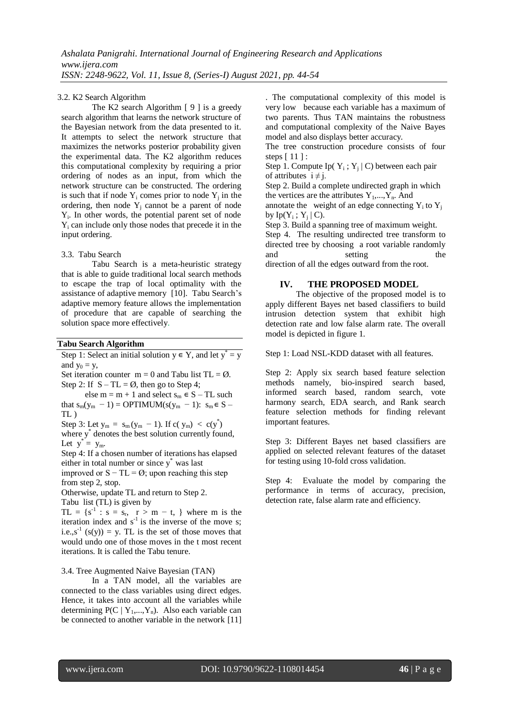#### 3.2. K2 Search Algorithm

The K2 search Algorithm [ 9 ] is a greedy search algorithm that learns the network structure of the Bayesian network from the data presented to it. It attempts to select the network structure that maximizes the networks posterior probability given the experimental data. The K2 algorithm reduces this computational complexity by requiring a prior ordering of nodes as an input, from which the network structure can be constructed. The ordering is such that if node  $Y_i$  comes prior to node  $Y_j$  in the ordering, then node  $Y_i$  cannot be a parent of node Yi . In other words, the potential parent set of node  $Y_i$  can include only those nodes that precede it in the input ordering.

#### 3.3. Tabu Search

Tabu Search is a meta-heuristic strategy that is able to guide traditional local search methods to escape the trap of local optimality with the assistance of adaptive memory [10]. Tabu Search's adaptive memory feature allows the implementation of procedure that are capable of searching the solution space more effectively.

#### **Tabu Search Algorithm**

Step 1: Select an initial solution  $y \in Y$ , and let  $y^* = y$ and  $y_0 = y$ ,

Set iteration counter  $m = 0$  and Tabu list TL =  $\emptyset$ . Step 2: If  $S - TL = \emptyset$ , then go to Step 4;

else m = m + 1 and select  $s_m \in S - TL$  such that  $s_m(y_m - 1) = OPTIMUM(s(y_m - 1))$ :  $s_m \in S$  – TL )

Step 3: Let  $y_m = s_m(y_m - 1)$ . If  $c(y_m) < c(y^*)$ 

where  $y^*$  denotes the best solution currently found, Let  $y^* = y_m$ .

Step 4: If a chosen number of iterations has elapsed either in total number or since  $y^*$  was last

improved or  $S - TL = \emptyset$ ; upon reaching this step from step 2, stop.

Otherwise, update TL and return to Step 2. Tabu list (TL) is given by

TL =  $\{s^{-1} : s = s_r, r > m - t, \}$  where m is the iteration index and  $s^{-1}$  is the inverse of the move s; i.e.,s<sup>-1</sup> (s(y)) = y. TL is the set of those moves that would undo one of those moves in the t most recent iterations. It is called the Tabu tenure.

#### 3.4. Tree Augmented Naive Bayesian (TAN)

In a TAN model, all the variables are connected to the class variables using direct edges. Hence, it takes into account all the variables while determining  $P(C | Y_1,...,Y_n)$ . Also each variable can be connected to another variable in the network [11] . The computational complexity of this model is very low because each variable has a maximum of two parents. Thus TAN maintains the robustness and computational complexity of the Naive Bayes model and also displays better accuracy.

The tree construction procedure consists of four steps [ 11 ] :

Step 1. Compute Ip( $Y_i$ ;  $Y_j | C$ ) between each pair of attributes  $i \neq j$ .

Step 2. Build a complete undirected graph in which the vertices are the attributes  $Y_1, ..., Y_n$ . And annotate the weight of an edge connecting  $Y_i$  to  $Y_j$ 

by  $\text{lp}(Y_i; Y_j \mid C)$ .

Step 3. Build a spanning tree of maximum weight. Step 4. The resulting undirected tree transform to directed tree by choosing a root variable randomly and setting the direction of all the edges outward from the root.

## **IV. THE PROPOSED MODEL**

The objective of the proposed model is to apply different Bayes net based classifiers to build intrusion detection system that exhibit high detection rate and low false alarm rate. The overall model is depicted in figure 1.

Step 1: Load NSL-KDD dataset with all features.

Step 2: Apply six search based feature selection methods namely, bio-inspired search based, informed search based, random search, vote harmony search, EDA search, and Rank search feature selection methods for finding relevant important features.

Step 3: Different Bayes net based classifiers are applied on selected relevant features of the dataset for testing using 10-fold cross validation.

Step 4: Evaluate the model by comparing the performance in terms of accuracy, precision, detection rate, false alarm rate and efficiency.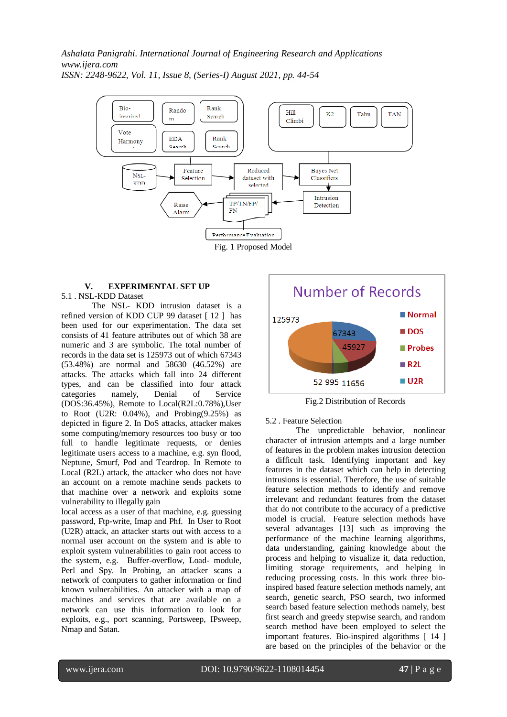

**V. EXPERIMENTAL SET UP** 5.1 . NSL-KDD Dataset

The NSL- KDD intrusion dataset is a refined version of KDD CUP 99 dataset [ 12 ] has been used for our experimentation. The data set consists of 41 feature attributes out of which 38 are numeric and 3 are symbolic. The total number of records in the data set is 125973 out of which 67343 (53.48%) are normal and 58630 (46.52%) are attacks. The attacks which fall into 24 different types, and can be classified into four attack categories namely, Denial of Service (DOS:36.45%), Remote to Local(R2L:0.78%),User to Root (U2R:  $0.04\%$ ), and Probing $(9.25\%)$  as depicted in figure 2. In DoS attacks, attacker makes some computing/memory resources too busy or too full to handle legitimate requests, or denies legitimate users access to a machine, e.g. syn flood, Neptune, Smurf, Pod and Teardrop. In Remote to Local (R2L) attack, the attacker who does not have an account on a remote machine sends packets to that machine over a network and exploits some vulnerability to illegally gain

local access as a user of that machine, e.g. guessing password, Ftp-write, Imap and Phf. In User to Root (U2R) attack, an attacker starts out with access to a normal user account on the system and is able to exploit system vulnerabilities to gain root access to the system, e.g. Buffer-overflow, Load- module, Perl and Spy. In Probing, an attacker scans a network of computers to gather information or find known vulnerabilities. An attacker with a map of machines and services that are available on a network can use this information to look for exploits, e.g., port scanning, Portsweep, IPsweep, Nmap and Satan.



Fig.2 Distribution of Records

#### 5.2 . Feature Selection

The unpredictable behavior, nonlinear character of intrusion attempts and a large number of features in the problem makes intrusion detection a difficult task. Identifying important and key features in the dataset which can help in detecting intrusions is essential. Therefore, the use of suitable feature selection methods to identify and remove irrelevant and redundant features from the dataset that do not contribute to the accuracy of a predictive model is crucial. Feature selection methods have several advantages [13] such as improving the performance of the machine learning algorithms, data understanding, gaining knowledge about the process and helping to visualize it, data reduction, limiting storage requirements, and helping in reducing processing costs. In this work three bioinspired based feature selection methods namely, ant search, genetic search, PSO search, two informed search based feature selection methods namely, best first search and greedy stepwise search, and random search method have been employed to select the important features. Bio-inspired algorithms [ 14 ] are based on the principles of the behavior or the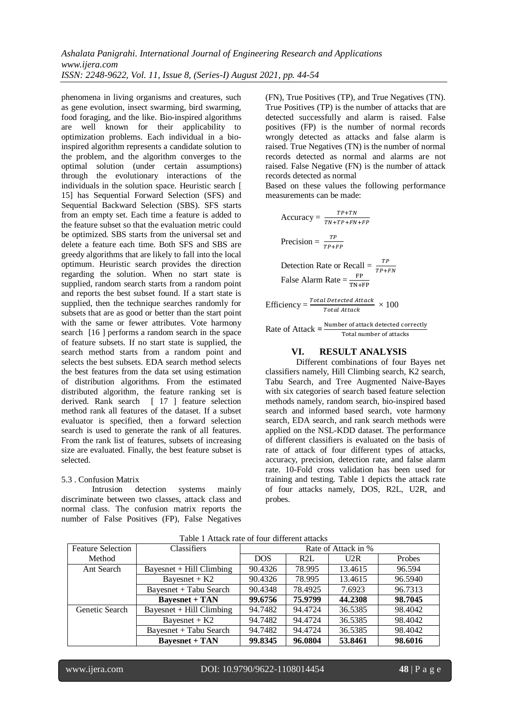phenomena in living organisms and creatures, such as gene evolution, insect swarming, bird swarming, food foraging, and the like. Bio-inspired algorithms are well known for their applicability to optimization problems. Each individual in a bioinspired algorithm represents a candidate solution to the problem, and the algorithm converges to the optimal solution (under certain assumptions) through the evolutionary interactions of the individuals in the solution space. Heuristic search [ 15] has Sequential Forward Selection (SFS) and Sequential Backward Selection (SBS). SFS starts from an empty set. Each time a feature is added to the feature subset so that the evaluation metric could be optimized. SBS starts from the universal set and delete a feature each time. Both SFS and SBS are greedy algorithms that are likely to fall into the local optimum. Heuristic search provides the direction regarding the solution. When no start state is supplied, random search starts from a random point and reports the best subset found. If a start state is supplied, then the technique searches randomly for subsets that are as good or better than the start point with the same or fewer attributes. Vote harmony search [16] performs a random search in the space of feature subsets. If no start state is supplied, the search method starts from a random point and selects the best subsets. EDA search method selects the best features from the data set using estimation of distribution algorithms. From the estimated distributed algorithm, the feature ranking set is derived. Rank search [ 17 ] feature selection method rank all features of the dataset. If a subset evaluator is specified, then a forward selection search is used to generate the rank of all features. From the rank list of features, subsets of increasing size are evaluated. Finally, the best feature subset is selected.

## 5.3 . Confusion Matrix

Intrusion detection systems mainly discriminate between two classes, attack class and normal class. The confusion matrix reports the number of False Positives (FP), False Negatives

(FN), True Positives (TP), and True Negatives (TN). True Positives (TP) is the number of attacks that are detected successfully and alarm is raised. False positives (FP) is the number of normal records wrongly detected as attacks and false alarm is raised. True Negatives (TN) is the number of normal records detected as normal and alarms are not raised. False Negative (FN) is the number of attack records detected as normal

Based on these values the following performance measurements can be made:

$$
Accuracy = \frac{TP+TN}{TN+TP+FN+FP}
$$
  

$$
Precision = \frac{TP}{TP+FP}
$$

Detection Rate or Recall =  $\frac{1}{T}$ False Alarm Rate  $=\frac{1}{T}$ 

Efficiency  $=$   $\frac{Total \, Detection \, At \, data}{Total \, Michael \, 100} \times 100$ Total Attack

Rate of Attack  $=$   $\frac{N}{A}$ Total number of attacks

## **VI. RESULT ANALYSIS**

Different combinations of four Bayes net classifiers namely, Hill Climbing search, K2 search, Tabu Search, and Tree Augmented Naive-Bayes with six categories of search based feature selection methods namely, random search, bio-inspired based search and informed based search, vote harmony search, EDA search, and rank search methods were applied on the NSL-KDD dataset. The performance of different classifiers is evaluated on the basis of rate of attack of four different types of attacks, accuracy, precision, detection rate, and false alarm rate. 10-Fold cross validation has been used for training and testing. Table 1 depicts the attack rate of four attacks namely, DOS, R2L, U2R, and probes.

| <b>Feature Selection</b> | Classifiers                | Rate of Attack in % |                  |         |         |  |  |
|--------------------------|----------------------------|---------------------|------------------|---------|---------|--|--|
| Method                   |                            | <b>DOS</b>          | R <sub>2</sub> L | U2R     | Probes  |  |  |
| Ant Search               | Bayesnet $+$ Hill Climbing | 90.4326             | 78.995           | 13.4615 | 96.594  |  |  |
|                          | Bayesnet $+$ K2            | 90.4326             | 78.995           | 13.4615 | 96.5940 |  |  |
|                          | Bayesnet + Tabu Search     | 90.4348             | 78.4925          | 7.6923  | 96.7313 |  |  |
|                          | <b>Bayesnet + TAN</b>      | 99.6756             | 75.9799          | 44.2308 | 98.7045 |  |  |
| Genetic Search           | Bayesnet $+$ Hill Climbing | 94.7482             | 94.4724          | 36.5385 | 98.4042 |  |  |
|                          | Bayesnet $+$ K2            | 94.7482             | 94.4724          | 36.5385 | 98.4042 |  |  |
|                          | Bayesnet + Tabu Search     | 94.7482             | 94.4724          | 36.5385 | 98.4042 |  |  |
|                          | <b>Bayesnet + TAN</b>      | 99.8345             | 96.0804          | 53.8461 | 98.6016 |  |  |

Table 1 Attack rate of four different attacks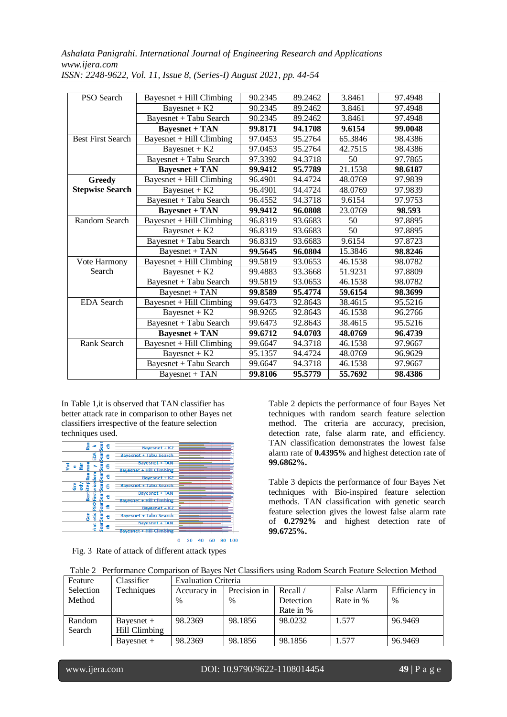*Ashalata Panigrahi. International Journal of Engineering Research and Applications www.ijera.com*

| PSO Search               | Bayesnet + Hill Climbing   | 90.2345 | 89.2462 | 3.8461  | 97.4948 |
|--------------------------|----------------------------|---------|---------|---------|---------|
|                          | Bayesnet + $K2$            | 90.2345 | 89.2462 | 3.8461  | 97.4948 |
|                          | Bayesnet + Tabu Search     | 90.2345 | 89.2462 | 3.8461  | 97.4948 |
|                          | <b>Bayesnet + TAN</b>      | 99.8171 | 94.1708 | 9.6154  | 99.0048 |
| <b>Best First Search</b> | Bayesnet $+$ Hill Climbing | 97.0453 | 95.2764 | 65.3846 | 98.4386 |
|                          | Bayesnet + $K2$            | 97.0453 | 95.2764 | 42.7515 | 98.4386 |
|                          | Bayesnet + Tabu Search     | 97.3392 | 94.3718 | 50      | 97.7865 |
|                          | <b>Bayesnet + TAN</b>      | 99.9412 | 95.7789 | 21.1538 | 98.6187 |
| <b>Greedy</b>            | Bayesnet + Hill Climbing   | 96.4901 | 94.4724 | 48.0769 | 97.9839 |
| <b>Stepwise Search</b>   | Bayesnet + $K2$            | 96.4901 | 94.4724 | 48.0769 | 97.9839 |
|                          | Bayesnet + Tabu Search     | 96.4552 | 94.3718 | 9.6154  | 97.9753 |
|                          | <b>Bayesnet + TAN</b>      | 99.9412 | 96.0808 | 23.0769 | 98.593  |
| Random Search            | Bayesnet + Hill Climbing   | 96.8319 | 93.6683 | 50      | 97.8895 |
|                          | Bayesnet + $K2$            | 96.8319 | 93.6683 | 50      | 97.8895 |
|                          | Bayesnet + Tabu Search     | 96.8319 | 93.6683 | 9.6154  | 97.8723 |
|                          | Bayesnet + TAN             | 99.5645 | 96.0804 | 15.3846 | 98.8246 |
| Vote Harmony             | Bayesnet + Hill Climbing   | 99.5819 | 93.0653 | 46.1538 | 98.0782 |
| Search                   | Bayesnet + $K2$            | 99.4883 | 93.3668 | 51.9231 | 97.8809 |
|                          | Bayesnet + Tabu Search     | 99.5819 | 93.0653 | 46.1538 | 98.0782 |
|                          | Bayesnet + TAN             | 99.8589 | 95.4774 | 59.6154 | 98.3699 |
| <b>EDA</b> Search        | Bayesnet + Hill Climbing   | 99.6473 | 92.8643 | 38.4615 | 95.5216 |
|                          | Bayesnet + $K2$            | 98.9265 | 92.8643 | 46.1538 | 96.2766 |
|                          | Bayesnet + Tabu Search     | 99.6473 | 92.8643 | 38.4615 | 95.5216 |
|                          | <b>Bayesnet + TAN</b>      | 99.6712 | 94.0703 | 48.0769 | 96.4739 |
| Rank Search              | Bayesnet + Hill Climbing   | 99.6647 | 94.3718 | 46.1538 | 97.9667 |
|                          | Bayesnet + $K2$            | 95.1357 | 94.4724 | 48.0769 | 96.9629 |
|                          | Bayesnet + Tabu Search     | 99.6647 | 94.3718 | 46.1538 | 97.9667 |
|                          | Bayesnet + TAN             | 99.8106 | 95.5779 | 55.7692 | 98.4386 |

*ISSN: 2248-9622, Vol. 11, Issue 8, (Series-I) August 2021, pp. 44-54*

In Table 1,it is observed that TAN classifier has better attack rate in comparison to other Bayes net classifiers irrespective of the feature selection techniques used.



Fig. 3 Rate of attack of different attack types

Table 2 depicts the performance of four Bayes Net techniques with random search feature selection method. The criteria are accuracy, precision, detection rate, false alarm rate, and efficiency. TAN classification demonstrates the lowest false alarm rate of **0.4395%** and highest detection rate of **99.6862%.**

Table 3 depicts the performance of four Bayes Net techniques with Bio-inspired feature selection methods. TAN classification with genetic search feature selection gives the lowest false alarm rate of **0.2792%** and highest detection rate of **99.6725%.**

|  |  | Table 2 Performance Comparison of Bayes Net Classifiers using Radom Search Feature Selection Method |  |
|--|--|-----------------------------------------------------------------------------------------------------|--|
|  |  |                                                                                                     |  |

| Feature          | Classifier                    |               | <b>Evaluation Criteria</b>                               |           |           |         |  |  |  |
|------------------|-------------------------------|---------------|----------------------------------------------------------|-----------|-----------|---------|--|--|--|
| Selection        | Techniques                    | Accuracy in   | Precision in<br>Efficiency in<br>Recall /<br>False Alarm |           |           |         |  |  |  |
| Method           |                               | $\frac{0}{0}$ | $\frac{0}{0}$                                            | Detection | Rate in % | $\%$    |  |  |  |
|                  |                               |               |                                                          | Rate in % |           |         |  |  |  |
| Random<br>Search | Bayesnet $+$<br>Hill Climbing | 98.2369       | 98.1856                                                  | 98.0232   | 1.577     | 96.9469 |  |  |  |
|                  | Bayesnet $+$                  | 98.2369       | 98.1856                                                  | 98.1856   | 1.577     | 96.9469 |  |  |  |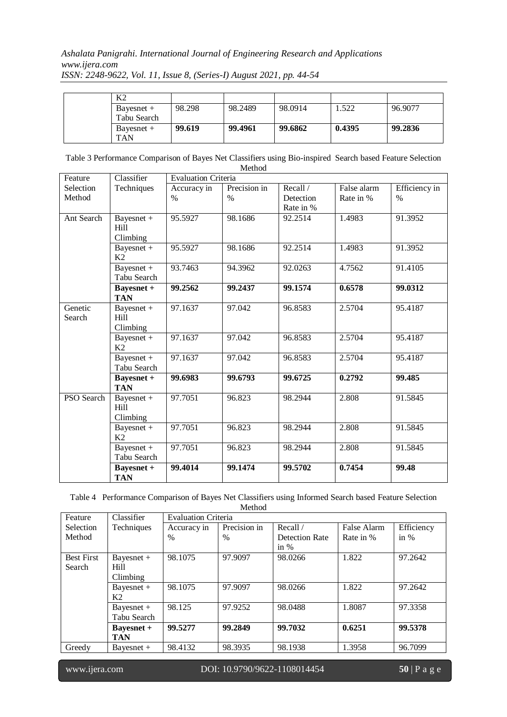| K2           |        |         |         |        |         |
|--------------|--------|---------|---------|--------|---------|
| Bayesnet $+$ | 98.298 | 98.2489 | 98.0914 | 1.522  | 96.9077 |
| Tabu Search  |        |         |         |        |         |
| Bayesnet $+$ | 99.619 | 99.4961 | 99.6862 | 0.4395 | 99.2836 |
| <b>TAN</b>   |        |         |         |        |         |

Table 3 Performance Comparison of Bayes Net Classifiers using Bio-inspired Search based Feature Selection Method

| Feature    | Classifier        | <b>Evaluation Criteria</b> |              |           |             |               |
|------------|-------------------|----------------------------|--------------|-----------|-------------|---------------|
| Selection  | Techniques        | Accuracy in                | Precision in | Recall /  | False alarm | Efficiency in |
| Method     |                   | $\%$                       | %            | Detection | Rate in %   | $\%$          |
|            |                   |                            |              | Rate in % |             |               |
| Ant Search | Bayesnet +        | 95.5927                    | 98.1686      | 92.2514   | 1.4983      | 91.3952       |
|            | Hill              |                            |              |           |             |               |
|            | Climbing          |                            |              |           |             |               |
|            | Bayesnet +        | 95.5927                    | 98.1686      | 92.2514   | 1.4983      | 91.3952       |
|            | K <sub>2</sub>    |                            |              |           |             |               |
|            | Bayesnet +        | 93.7463                    | 94.3962      | 92.0263   | 4.7562      | 91.4105       |
|            | Tabu Search       |                            |              |           |             |               |
|            | <b>Bayesnet +</b> | 99.2562                    | 99.2437      | 99.1574   | 0.6578      | 99.0312       |
|            | <b>TAN</b>        |                            |              |           |             |               |
| Genetic    | Bayesnet +        | 97.1637                    | 97.042       | 96.8583   | 2.5704      | 95.4187       |
| Search     | Hill              |                            |              |           |             |               |
|            | Climbing          |                            |              |           |             |               |
|            | Bayesnet +        | 97.1637                    | 97.042       | 96.8583   | 2.5704      | 95.4187       |
|            | K <sub>2</sub>    |                            |              |           |             |               |
|            | Bayesnet +        | 97.1637                    | 97.042       | 96.8583   | 2.5704      | 95.4187       |
|            | Tabu Search       |                            |              |           |             |               |
|            | <b>Bayesnet +</b> | 99.6983                    | 99.6793      | 99.6725   | 0.2792      | 99.485        |
|            | <b>TAN</b>        |                            |              |           |             |               |
| PSO Search | Bayesnet +        | 97.7051                    | 96.823       | 98.2944   | 2.808       | 91.5845       |
|            | Hill              |                            |              |           |             |               |
|            | Climbing          |                            |              |           |             |               |
|            | Bayesnet +        | 97.7051                    | 96.823       | 98.2944   | 2.808       | 91.5845       |
|            | K2                |                            |              |           |             |               |
|            | Bayesnet +        | 97.7051                    | 96.823       | 98.2944   | 2.808       | 91.5845       |
|            | Tabu Search       |                            |              |           |             |               |
|            | <b>Bayesnet +</b> | 99.4014                    | 99.1474      | 99.5702   | 0.7454      | 99.48         |
|            | <b>TAN</b>        |                            |              |           |             |               |

Table 4 Performance Comparison of Bayes Net Classifiers using Informed Search based Feature Selection Method

| Classifier     |               |               |                            |             |            |
|----------------|---------------|---------------|----------------------------|-------------|------------|
| Techniques     | Accuracy in   | Precision in  | Recall /                   | False Alarm | Efficiency |
|                | $\frac{0}{0}$ | $\frac{0}{0}$ | Detection Rate             | Rate in %   | in $%$     |
|                |               |               | in $%$                     |             |            |
| Bayesnet $+$   | 98.1075       | 97.9097       | 98.0266                    | 1.822       | 97.2642    |
| Hill           |               |               |                            |             |            |
| Climbing       |               |               |                            |             |            |
| Bayesnet $+$   | 98.1075       | 97.9097       | 98.0266                    | 1.822       | 97.2642    |
| K <sub>2</sub> |               |               |                            |             |            |
| Bayesnet $+$   | 98.125        | 97.9252       | 98.0488                    | 1.8087      | 97.3358    |
| Tabu Search    |               |               |                            |             |            |
| $Bayesnet +$   | 99.5277       | 99.2849       | 99.7032                    | 0.6251      | 99.5378    |
| <b>TAN</b>     |               |               |                            |             |            |
| Bayesnet $+$   | 98.4132       | 98.3935       | 98.1938                    | 1.3958      | 96.7099    |
|                |               |               | <b>Evaluation Criteria</b> |             |            |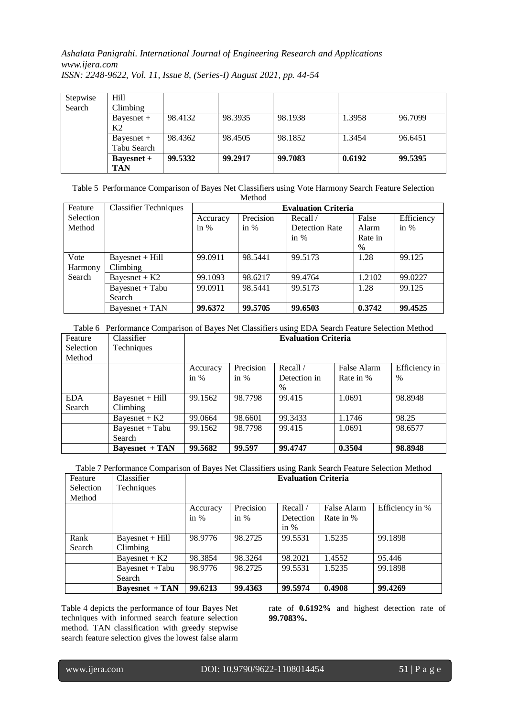# *Ashalata Panigrahi. International Journal of Engineering Research and Applications www.ijera.com*

| Stepwise | <b>Hill</b>                     |         |         |         |        |         |
|----------|---------------------------------|---------|---------|---------|--------|---------|
| Search   | Climbing                        |         |         |         |        |         |
|          | Bayesnet $+$<br>K <sub>2</sub>  | 98.4132 | 98.3935 | 98.1938 | 1.3958 | 96.7099 |
|          | Bayesnet $+$<br>Tabu Search     | 98.4362 | 98.4505 | 98.1852 | 1.3454 | 96.6451 |
|          | <b>Bavesnet</b> +<br><b>TAN</b> | 99.5332 | 99.2917 | 99.7083 | 0.6192 | 99.5395 |

*ISSN: 2248-9622, Vol. 11, Issue 8, (Series-I) August 2021, pp. 44-54*

| Table 5 Performance Comparison of Bayes Net Classifiers using Vote Harmony Search Feature Selection |        |  |  |
|-----------------------------------------------------------------------------------------------------|--------|--|--|
|                                                                                                     | Method |  |  |

| Feature   | <b>Classifier Techniques</b> |          | <b>Evaluation Criteria</b> |                       |         |            |  |  |
|-----------|------------------------------|----------|----------------------------|-----------------------|---------|------------|--|--|
| Selection |                              | Accuracy | Precision                  | Recall $/$            | False   | Efficiency |  |  |
| Method    |                              | in $%$   | in $%$                     | <b>Detection Rate</b> | Alarm   | in $%$     |  |  |
|           |                              |          |                            | in $%$                | Rate in |            |  |  |
|           |                              |          |                            |                       | $\%$    |            |  |  |
| Vote      | $Bayesnet + Hill$            | 99.0911  | 98.5441                    | 99.5173               | 1.28    | 99.125     |  |  |
| Harmony   | Climbing                     |          |                            |                       |         |            |  |  |
| Search    | Bayesnet $+$ K2              | 99.1093  | 98.6217                    | 99.4764               | 1.2102  | 99.0227    |  |  |
|           | Bayesnet + Tabu              | 99.0911  | 98.5441                    | 99.5173               | 1.28    | 99.125     |  |  |
|           | Search                       |          |                            |                       |         |            |  |  |
|           | Bayesnet + TAN               | 99.6372  | 99.5705                    | 99.6503               | 0.3742  | 99.4525    |  |  |

Table 6 Performance Comparison of Bayes Net Classifiers using EDA Search Feature Selection Method

| Feature    | Classifier        | <b>Evaluation Criteria</b> |           |              |             |               |  |  |
|------------|-------------------|----------------------------|-----------|--------------|-------------|---------------|--|--|
| Selection  | Techniques        |                            |           |              |             |               |  |  |
| Method     |                   |                            |           |              |             |               |  |  |
|            |                   | Accuracy                   | Precision | Recall /     | False Alarm | Efficiency in |  |  |
|            |                   | in $%$                     | in $%$    | Detection in | Rate in %   | $\frac{0}{0}$ |  |  |
|            |                   |                            |           | $\%$         |             |               |  |  |
| <b>EDA</b> | $Bayesnet + Hill$ | 99.1562                    | 98.7798   | 99.415       | 1.0691      | 98.8948       |  |  |
| Search     | Climbing          |                            |           |              |             |               |  |  |
|            | Bayesnet $+$ K2   | 99.0664                    | 98.6601   | 99.3433      | 1.1746      | 98.25         |  |  |
|            | $Bayesnet + Tabu$ | 99.1562                    | 98.7798   | 99.415       | 1.0691      | 98.6577       |  |  |
|            | Search            |                            |           |              |             |               |  |  |
|            | $Bayesnet + TAN$  | 99.5682                    | 99.597    | 99.4747      | 0.3504      | 98.8948       |  |  |

Table 7 Performance Comparison of Bayes Net Classifiers using Rank Search Feature Selection Method

| Feature   | Classifier            |          |           | <b>Evaluation Criteria</b> |             |                 |
|-----------|-----------------------|----------|-----------|----------------------------|-------------|-----------------|
| Selection | Techniques            |          |           |                            |             |                 |
| Method    |                       |          |           |                            |             |                 |
|           |                       | Accuracy | Precision | Recall /                   | False Alarm | Efficiency in % |
|           |                       | in $%$   | in $%$    | Detection                  | Rate in %   |                 |
|           |                       |          |           | in $%$                     |             |                 |
| Rank      | $Bayesnet + Hill$     | 98.9776  | 98.2725   | 99.5531                    | 1.5235      | 99.1898         |
| Search    | Climbing              |          |           |                            |             |                 |
|           | Bayesnet $+$ K2       | 98.3854  | 98.3264   | 98.2021                    | 1.4552      | 95.446          |
|           | $Bayesnet + Tabu$     | 98.9776  | 98.2725   | 99.5531                    | 1.5235      | 99.1898         |
|           | Search                |          |           |                            |             |                 |
|           | <b>Bayesnet + TAN</b> | 99.6213  | 99.4363   | 99.5974                    | 0.4908      | 99.4269         |

Table 4 depicts the performance of four Bayes Net techniques with informed search feature selection method. TAN classification with greedy stepwise search feature selection gives the lowest false alarm rate of **0.6192%** and highest detection rate of **99.7083%.**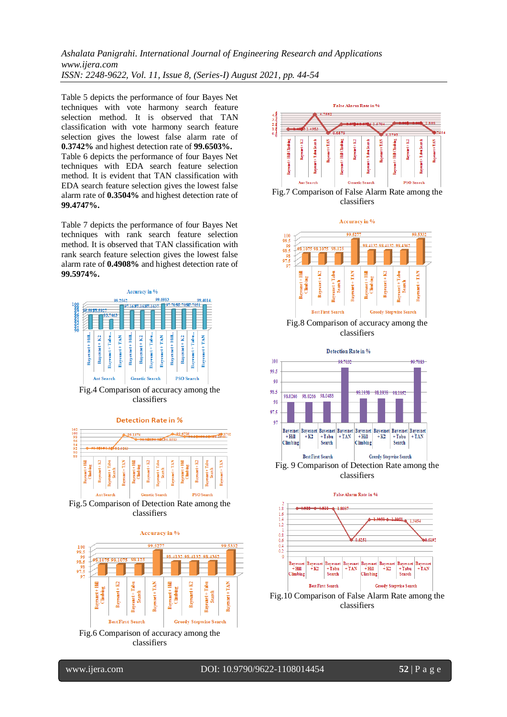Table 5 depicts the performance of four Bayes Net techniques with vote harmony search feature selection method. It is observed that TAN classification with vote harmony search feature selection gives the lowest false alarm rate of **0.3742%** and highest detection rate of **99.6503%.** Table 6 depicts the performance of four Bayes Net techniques with EDA search feature selection method. It is evident that TAN classification with EDA search feature selection gives the lowest false alarm rate of **0.3504%** and highest detection rate of **99.4747%.**

Table 7 depicts the performance of four Bayes Net techniques with rank search feature selection method. It is observed that TAN classification with rank search feature selection gives the lowest false alarm rate of **0.4908%** and highest detection rate of **99.5974%.**



Fig.4 Comparison of accuracy among the classifiers





Fig.5 Comparison of Detection Rate among the classifiers



classifiers



classifiers



Fig.8 Comparison of accuracy among the classifiers



classifiers

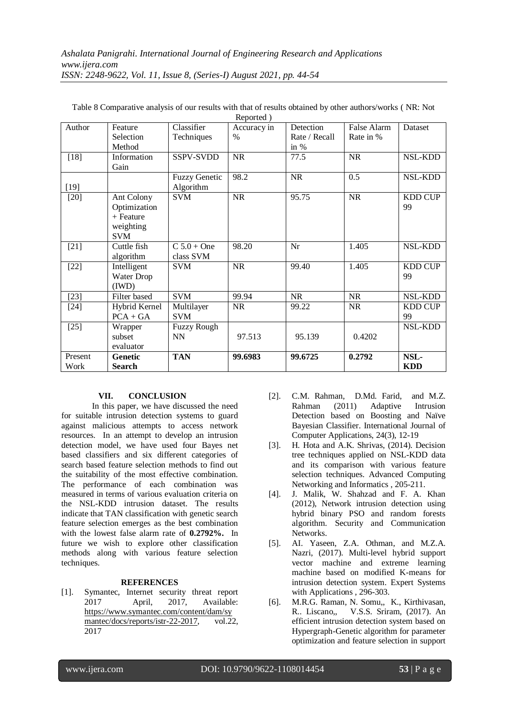| Author  | Feature        | Classifier           | Accuracy in | Detection     | False Alarm | Dataset        |
|---------|----------------|----------------------|-------------|---------------|-------------|----------------|
|         | Selection      | Techniques           | $\%$        | Rate / Recall | Rate in %   |                |
|         | Method         |                      |             | in %          |             |                |
| $[18]$  | Information    | <b>SSPV-SVDD</b>     | NR          | 77.5          | <b>NR</b>   | NSL-KDD        |
|         | Gain           |                      |             |               |             |                |
|         |                | <b>Fuzzy Genetic</b> | 98.2        | <b>NR</b>     | 0.5         | NSL-KDD        |
| $[19]$  |                | Algorithm            |             |               |             |                |
| $[20]$  | Ant Colony     | <b>SVM</b>           | <b>NR</b>   | 95.75         | <b>NR</b>   | <b>KDD CUP</b> |
|         | Optimization   |                      |             |               |             | 99             |
|         | + Feature      |                      |             |               |             |                |
|         | weighting      |                      |             |               |             |                |
|         | <b>SVM</b>     |                      |             |               |             |                |
| $[21]$  | Cuttle fish    | $C$ 5.0 + One        | 98.20       | Nr            | 1.405       | <b>NSL-KDD</b> |
|         | algorithm      | class SVM            |             |               |             |                |
| $[22]$  | Intelligent    | <b>SVM</b>           | NR          | 99.40         | 1.405       | <b>KDD CUP</b> |
|         | Water Drop     |                      |             |               |             | 99             |
|         | (IWD)          |                      |             |               |             |                |
| $[23]$  | Filter based   | <b>SVM</b>           | 99.94       | <b>NR</b>     | <b>NR</b>   | <b>NSL-KDD</b> |
| $[24]$  | Hybrid Kernel  | Multilayer           | <b>NR</b>   | 99.22         | <b>NR</b>   | <b>KDD CUP</b> |
|         | $PCA + GA$     | <b>SVM</b>           |             |               |             | 99             |
| $[25]$  | Wrapper        | <b>Fuzzy Rough</b>   |             |               |             | <b>NSL-KDD</b> |
|         | subset         | <b>NN</b>            | 97.513      | 95.139        | 0.4202      |                |
|         | evaluator      |                      |             |               |             |                |
| Present | <b>Genetic</b> | <b>TAN</b>           | 99.6983     | 99.6725       | 0.2792      | NSL-           |
| Work    | Search         |                      |             |               |             | <b>KDD</b>     |

Table 8 Comparative analysis of our results with that of results obtained by other authors/works ( NR: Not Reported )

# **VII. CONCLUSION**

In this paper, we have discussed the need for suitable intrusion detection systems to guard against malicious attempts to access network resources. In an attempt to develop an intrusion detection model, we have used four Bayes net based classifiers and six different categories of search based feature selection methods to find out the suitability of the most effective combination. The performance of each combination was measured in terms of various evaluation criteria on the NSL-KDD intrusion dataset. The results indicate that TAN classification with genetic search feature selection emerges as the best combination with the lowest false alarm rate of **0.2792%.** In future we wish to explore other classification methods along with various feature selection techniques.

## **REFERENCES**

[1]. Symantec, Internet security threat report 2017 April, 2017, Available: [https://www.symantec.com/content/dam/sy](https://www.symantec.com/content/dam/symantec/docs/reports/istr-22-2017) [mantec/docs/reports/istr-22-2017,](https://www.symantec.com/content/dam/symantec/docs/reports/istr-22-2017) vol.22, 2017

- [2]. C.M. Rahman, D.Md. Farid, and M.Z. Rahman (2011) Adaptive Intrusion Detection based on Boosting and Naïve Bayesian Classifier. International Journal of Computer Applications, 24(3), 12-19
- [3]. H. Hota and A.K. Shrivas, (2014). Decision tree techniques applied on NSL-KDD data and its comparison with various feature selection techniques. Advanced Computing Networking and Informatics , 205-211.
- [4]. J. Malik, W. Shahzad and F. A. Khan (2012), Network intrusion detection using hybrid binary PSO and random forests algorithm. Security and Communication Networks.
- [5]. AI. Yaseen, Z.A. Othman, and M.Z.A. Nazri, (2017). Multi-level hybrid support vector machine and extreme learning machine based on modified K-means for intrusion detection system. Expert Systems with Applications , 296-303.
- [6]. M.R.G. Raman, N. Somu,, K., Kirthivasan, R.. Liscano,, V.S.S. Sriram, (2017). An efficient intrusion detection system based on Hypergraph-Genetic algorithm for parameter optimization and feature selection in support